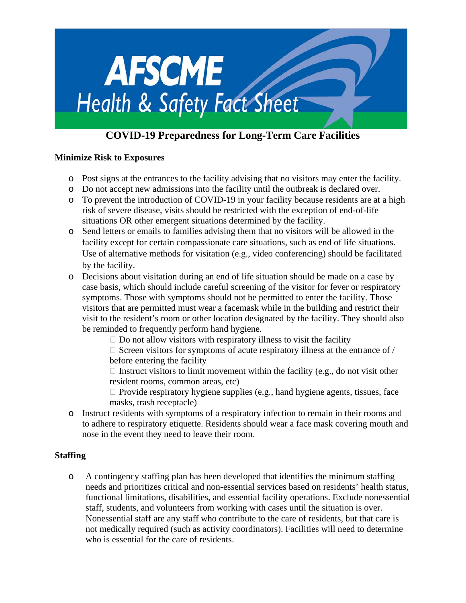

# **COVID-19 Preparedness for Long-Term Care Facilities**

#### **Minimize Risk to Exposures**

- o Post signs at the entrances to the facility advising that no visitors may enter the facility.
- o Do not accept new admissions into the facility until the outbreak is declared over.
- o To prevent the introduction of COVID-19 in your facility because residents are at a high risk of severe disease, visits should be restricted with the exception of end-of-life situations OR other emergent situations determined by the facility.
- o Send letters or emails to families advising them that no visitors will be allowed in the facility except for certain compassionate care situations, such as end of life situations. Use of alternative methods for visitation (e.g., video conferencing) should be facilitated by the facility.
- o Decisions about visitation during an end of life situation should be made on a case by case basis, which should include careful screening of the visitor for fever or respiratory symptoms. Those with symptoms should not be permitted to enter the facility. Those visitors that are permitted must wear a facemask while in the building and restrict their visit to the resident's room or other location designated by the facility. They should also be reminded to frequently perform hand hygiene.
	- $\Box$  Do not allow visitors with respiratory illness to visit the facility
	- $\Box$  Screen visitors for symptoms of acute respiratory illness at the entrance of / before entering the facility

 $\Box$  Instruct visitors to limit movement within the facility (e.g., do not visit other resident rooms, common areas, etc)

 $\Box$  Provide respiratory hygiene supplies (e.g., hand hygiene agents, tissues, face masks, trash receptacle)

o Instruct residents with symptoms of a respiratory infection to remain in their rooms and to adhere to respiratory etiquette. Residents should wear a face mask covering mouth and nose in the event they need to leave their room.

## **Staffing**

o A contingency staffing plan has been developed that identifies the minimum staffing needs and prioritizes critical and non-essential services based on residents' health status, functional limitations, disabilities, and essential facility operations. Exclude nonessential staff, students, and volunteers from working with cases until the situation is over. Nonessential staff are any staff who contribute to the care of residents, but that care is not medically required (such as activity coordinators). Facilities will need to determine who is essential for the care of residents.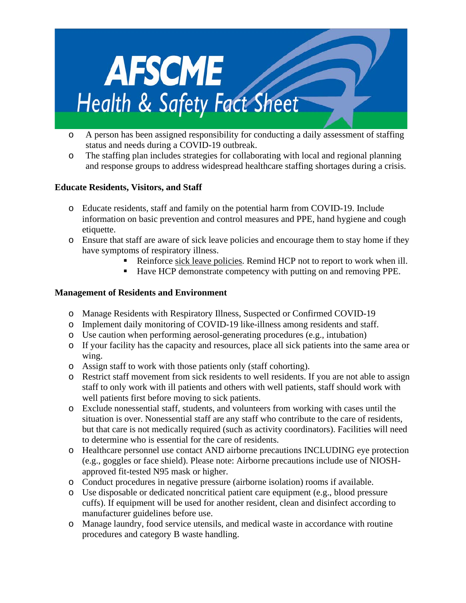

- o A person has been assigned responsibility for conducting a daily assessment of staffing status and needs during a COVID-19 outbreak.
- o The staffing plan includes strategies for collaborating with local and regional planning and response groups to address widespread healthcare staffing shortages during a crisis.

# **Educate Residents, Visitors, and Staff**

- o Educate residents, staff and family on the potential harm from COVID-19. Include information on basic prevention and control measures and PPE, hand hygiene and cough etiquette.
- o Ensure that staff are aware of sick leave policies and encourage them to stay home if they have symptoms of respiratory illness.
	- Reinforce sick leave policies. Remind HCP not to report to work when ill.
	- Have HCP demonstrate competency with putting on and removing PPE.

## **Management of Residents and Environment**

- o Manage Residents with Respiratory Illness, Suspected or Confirmed COVID-19
- o Implement daily monitoring of COVID-19 like-illness among residents and staff.
- o Use caution when performing aerosol-generating procedures (e.g., intubation)
- o If your facility has the capacity and resources, place all sick patients into the same area or wing.
- o Assign staff to work with those patients only (staff cohorting).
- o Restrict staff movement from sick residents to well residents. If you are not able to assign staff to only work with ill patients and others with well patients, staff should work with well patients first before moving to sick patients.
- o Exclude nonessential staff, students, and volunteers from working with cases until the situation is over. Nonessential staff are any staff who contribute to the care of residents, but that care is not medically required (such as activity coordinators). Facilities will need to determine who is essential for the care of residents.
- o Healthcare personnel use contact AND airborne precautions INCLUDING eye protection (e.g., goggles or face shield). Please note: Airborne precautions include use of NIOSHapproved fit-tested N95 mask or higher.
- o Conduct procedures in negative pressure (airborne isolation) rooms if available.
- o Use disposable or dedicated noncritical patient care equipment (e.g., blood pressure cuffs). If equipment will be used for another resident, clean and disinfect according to manufacturer guidelines before use.
- o Manage laundry, food service utensils, and medical waste in accordance with routine procedures and category B waste handling.